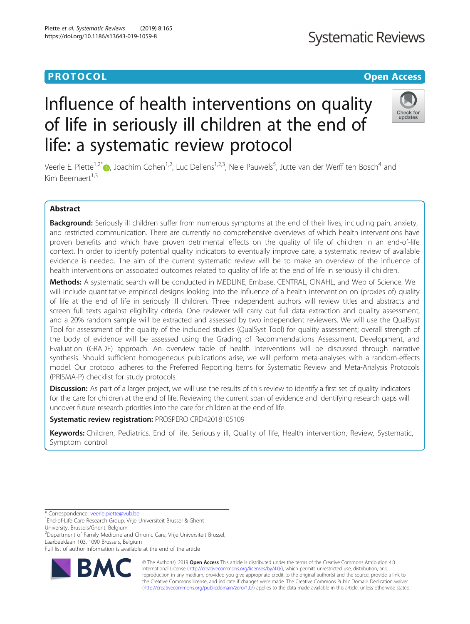# **PROTOCOL CONSUMING THE OPEN ACCESS**

# Influence of health interventions on quality of life in seriously ill children at the end of life: a systematic review protocol

Veerle E. Piette<sup>1,2\*</sup> $\bm{\mathbb{D}}$ , Joachim Cohen<sup>1,2</sup>, Luc Deliens<sup>1,2,3</sup>, Nele Pauwels<sup>5</sup>, Jutte van der Werff ten Bosch<sup>4</sup> and Kim Beernaert $1,3$ 

# Abstract

Background: Seriously ill children suffer from numerous symptoms at the end of their lives, including pain, anxiety, and restricted communication. There are currently no comprehensive overviews of which health interventions have proven benefits and which have proven detrimental effects on the quality of life of children in an end-of-life context. In order to identify potential quality indicators to eventually improve care, a systematic review of available evidence is needed. The aim of the current systematic review will be to make an overview of the influence of health interventions on associated outcomes related to quality of life at the end of life in seriously ill children.

Methods: A systematic search will be conducted in MEDLINE, Embase, CENTRAL, CINAHL, and Web of Science. We will include quantitative empirical designs looking into the influence of a health intervention on (proxies of) quality of life at the end of life in seriously ill children. Three independent authors will review titles and abstracts and screen full texts against eligibility criteria. One reviewer will carry out full data extraction and quality assessment, and a 20% random sample will be extracted and assessed by two independent reviewers. We will use the QualSyst Tool for assessment of the quality of the included studies (QualSyst Tool) for quality assessment; overall strength of the body of evidence will be assessed using the Grading of Recommendations Assessment, Development, and Evaluation (GRADE) approach. An overview table of health interventions will be discussed through narrative synthesis. Should sufficient homogeneous publications arise, we will perform meta-analyses with a random-effects model. Our protocol adheres to the Preferred Reporting Items for Systematic Review and Meta-Analysis Protocols (PRISMA-P) checklist for study protocols.

**Discussion:** As part of a larger project, we will use the results of this review to identify a first set of quality indicators for the care for children at the end of life. Reviewing the current span of evidence and identifying research gaps will uncover future research priorities into the care for children at the end of life.

Systematic review registration: PROSPERO CRD42018105109

Keywords: Children, Pediatrics, End of life, Seriously ill, Quality of life, Health intervention, Review, Systematic, Symptom control

\* Correspondence: [veerle.piette@vub.be](mailto:veerle.piette@vub.be) <sup>1</sup>

<sup>1</sup> End-of-Life Care Research Group, Vrije Universiteit Brussel & Ghent

University, Brussels/Ghent, Belgium

<sup>2</sup>Department of Family Medicine and Chronic Care, Vrije Universiteit Brussel, Laarbeeklaan 103, 1090 Brussels, Belgium

Full list of author information is available at the end of the article

© The Author(s). 2019 **Open Access** This article is distributed under the terms of the Creative Commons Attribution 4.0 International License [\(http://creativecommons.org/licenses/by/4.0/](http://creativecommons.org/licenses/by/4.0/)), which permits unrestricted use, distribution, and reproduction in any medium, provided you give appropriate credit to the original author(s) and the source, provide a link to the Creative Commons license, and indicate if changes were made. The Creative Commons Public Domain Dedication waiver [\(http://creativecommons.org/publicdomain/zero/1.0/](http://creativecommons.org/publicdomain/zero/1.0/)) applies to the data made available in this article, unless otherwise stated.





Piette et al. Systematic Reviews (2019) 8:165 https://doi.org/10.1186/s13643-019-1059-8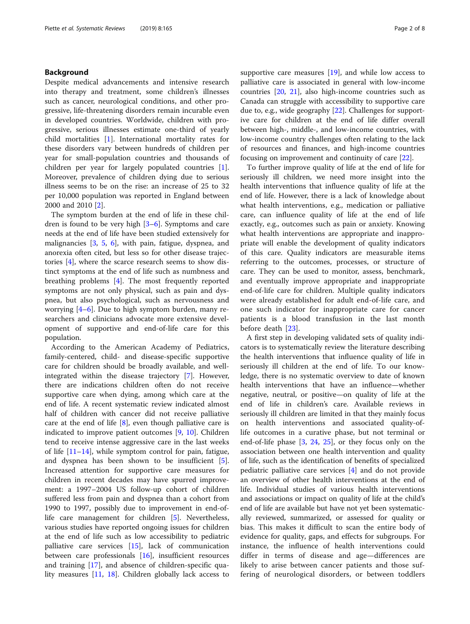#### Background

Despite medical advancements and intensive research into therapy and treatment, some children's illnesses such as cancer, neurological conditions, and other progressive, life-threatening disorders remain incurable even in developed countries. Worldwide, children with progressive, serious illnesses estimate one-third of yearly child mortalities [\[1](#page-6-0)]. International mortality rates for these disorders vary between hundreds of children per year for small-population countries and thousands of children per year for largely populated countries [\[1](#page-6-0)]. Moreover, prevalence of children dying due to serious illness seems to be on the rise: an increase of 25 to 32 per 10,000 population was reported in England between 2000 and 2010 [[2\]](#page-6-0).

The symptom burden at the end of life in these children is found to be very high [[3](#page-6-0)–[6](#page-6-0)]. Symptoms and care needs at the end of life have been studied extensively for malignancies [\[3](#page-6-0), [5,](#page-6-0) [6](#page-6-0)], with pain, fatigue, dyspnea, and anorexia often cited, but less so for other disease trajectories [\[4](#page-6-0)], where the scarce research seems to show distinct symptoms at the end of life such as numbness and breathing problems [[4\]](#page-6-0). The most frequently reported symptoms are not only physical, such as pain and dyspnea, but also psychological, such as nervousness and worrying [[4](#page-6-0)–[6](#page-6-0)]. Due to high symptom burden, many researchers and clinicians advocate more extensive development of supportive and end-of-life care for this population.

According to the American Academy of Pediatrics, family-centered, child- and disease-specific supportive care for children should be broadly available, and wellintegrated within the disease trajectory [\[7](#page-6-0)]. However, there are indications children often do not receive supportive care when dying, among which care at the end of life. A recent systematic review indicated almost half of children with cancer did not receive palliative care at the end of life [[8](#page-6-0)], even though palliative care is indicated to improve patient outcomes [\[9](#page-6-0), [10\]](#page-6-0). Children tend to receive intense aggressive care in the last weeks of life [[11](#page-6-0)–[14](#page-6-0)], while symptom control for pain, fatigue, and dyspnea has been shown to be insufficient [\[5](#page-6-0)]. Increased attention for supportive care measures for children in recent decades may have spurred improvement: a 1997–2004 US follow-up cohort of children suffered less from pain and dyspnea than a cohort from 1990 to 1997, possibly due to improvement in end-oflife care management for children [[5](#page-6-0)]. Nevertheless, various studies have reported ongoing issues for children at the end of life such as low accessibility to pediatric palliative care services [[15\]](#page-6-0), lack of communication between care professionals [\[16](#page-6-0)], insufficient resources and training [[17\]](#page-6-0), and absence of children-specific quality measures [[11](#page-6-0), [18\]](#page-6-0). Children globally lack access to supportive care measures [\[19](#page-6-0)], and while low access to palliative care is associated in general with low-income countries [\[20](#page-6-0), [21](#page-7-0)], also high-income countries such as Canada can struggle with accessibility to supportive care due to, e.g., wide geography [\[22\]](#page-7-0). Challenges for supportive care for children at the end of life differ overall between high-, middle-, and low-income countries, with low-income country challenges often relating to the lack of resources and finances, and high-income countries focusing on improvement and continuity of care [\[22](#page-7-0)].

To further improve quality of life at the end of life for seriously ill children, we need more insight into the health interventions that influence quality of life at the end of life. However, there is a lack of knowledge about what health interventions, e.g., medication or palliative care, can influence quality of life at the end of life exactly, e.g., outcomes such as pain or anxiety. Knowing what health interventions are appropriate and inappropriate will enable the development of quality indicators of this care. Quality indicators are measurable items referring to the outcomes, processes, or structure of care. They can be used to monitor, assess, benchmark, and eventually improve appropriate and inappropriate end-of-life care for children. Multiple quality indicators were already established for adult end-of-life care, and one such indicator for inappropriate care for cancer patients is a blood transfusion in the last month before death [[23\]](#page-7-0).

A first step in developing validated sets of quality indicators is to systematically review the literature describing the health interventions that influence quality of life in seriously ill children at the end of life. To our knowledge, there is no systematic overview to date of known health interventions that have an influence—whether negative, neutral, or positive—on quality of life at the end of life in children's care. Available reviews in seriously ill children are limited in that they mainly focus on health interventions and associated quality-oflife outcomes in a curative phase, but not terminal or end-of-life phase [\[3](#page-6-0), [24](#page-7-0), [25](#page-7-0)], or they focus only on the association between one health intervention and quality of life, such as the identification of benefits of specialized pediatric palliative care services [[4\]](#page-6-0) and do not provide an overview of other health interventions at the end of life. Individual studies of various health interventions and associations or impact on quality of life at the child's end of life are available but have not yet been systematically reviewed, summarized, or assessed for quality or bias. This makes it difficult to scan the entire body of evidence for quality, gaps, and effects for subgroups. For instance, the influence of health interventions could differ in terms of disease and age—differences are likely to arise between cancer patients and those suffering of neurological disorders, or between toddlers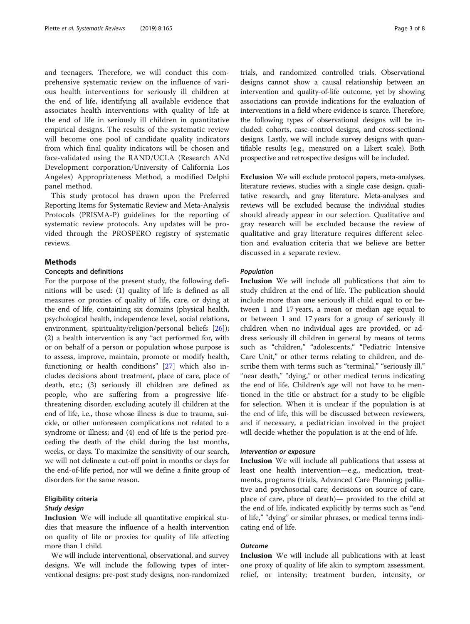and teenagers. Therefore, we will conduct this comprehensive systematic review on the influence of various health interventions for seriously ill children at the end of life, identifying all available evidence that associates health interventions with quality of life at the end of life in seriously ill children in quantitative empirical designs. The results of the systematic review will become one pool of candidate quality indicators from which final quality indicators will be chosen and face-validated using the RAND/UCLA (Research ANd Development corporation/University of California Los Angeles) Appropriateness Method, a modified Delphi panel method.

This study protocol has drawn upon the Preferred Reporting Items for Systematic Review and Meta-Analysis Protocols (PRISMA-P) guidelines for the reporting of systematic review protocols. Any updates will be provided through the PROSPERO registry of systematic reviews.

#### Methods

#### Concepts and definitions

For the purpose of the present study, the following definitions will be used: (1) quality of life is defined as all measures or proxies of quality of life, care, or dying at the end of life, containing six domains (physical health, psychological health, independence level, social relations, environment, spirituality/religion/personal beliefs [\[26](#page-7-0)]); (2) a health intervention is any "act performed for, with or on behalf of a person or population whose purpose is to assess, improve, maintain, promote or modify health, functioning or health conditions" [\[27\]](#page-7-0) which also includes decisions about treatment, place of care, place of death, etc.; (3) seriously ill children are defined as people, who are suffering from a progressive lifethreatening disorder, excluding acutely ill children at the end of life, i.e., those whose illness is due to trauma, suicide, or other unforeseen complications not related to a syndrome or illness; and (4) end of life is the period preceding the death of the child during the last months, weeks, or days. To maximize the sensitivity of our search, we will not delineate a cut-off point in months or days for the end-of-life period, nor will we define a finite group of disorders for the same reason.

#### Eligibility criteria

#### Study design

Inclusion We will include all quantitative empirical studies that measure the influence of a health intervention on quality of life or proxies for quality of life affecting more than 1 child.

We will include interventional, observational, and survey designs. We will include the following types of interventional designs: pre-post study designs, non-randomized

trials, and randomized controlled trials. Observational designs cannot show a causal relationship between an intervention and quality-of-life outcome, yet by showing associations can provide indications for the evaluation of interventions in a field where evidence is scarce. Therefore, the following types of observational designs will be included: cohorts, case-control designs, and cross-sectional designs. Lastly, we will include survey designs with quantifiable results (e.g., measured on a Likert scale). Both prospective and retrospective designs will be included.

Exclusion We will exclude protocol papers, meta-analyses, literature reviews, studies with a single case design, qualitative research, and gray literature. Meta-analyses and reviews will be excluded because the individual studies should already appear in our selection. Qualitative and gray research will be excluded because the review of qualitative and gray literature requires different selection and evaluation criteria that we believe are better discussed in a separate review.

#### Population

Inclusion We will include all publications that aim to study children at the end of life. The publication should include more than one seriously ill child equal to or between 1 and 17 years, a mean or median age equal to or between 1 and 17 years for a group of seriously ill children when no individual ages are provided, or address seriously ill children in general by means of terms such as "children," "adolescents," "Pediatric Intensive Care Unit," or other terms relating to children, and describe them with terms such as "terminal," "seriously ill," "near death," "dying," or other medical terms indicating the end of life. Children's age will not have to be mentioned in the title or abstract for a study to be eligible for selection. When it is unclear if the population is at the end of life, this will be discussed between reviewers, and if necessary, a pediatrician involved in the project will decide whether the population is at the end of life.

#### Intervention or exposure

Inclusion We will include all publications that assess at least one health intervention—e.g., medication, treatments, programs (trials, Advanced Care Planning; palliative and psychosocial care; decisions on source of care, place of care, place of death)— provided to the child at the end of life, indicated explicitly by terms such as "end of life," "dying" or similar phrases, or medical terms indicating end of life.

#### Outcome

Inclusion We will include all publications with at least one proxy of quality of life akin to symptom assessment, relief, or intensity; treatment burden, intensity, or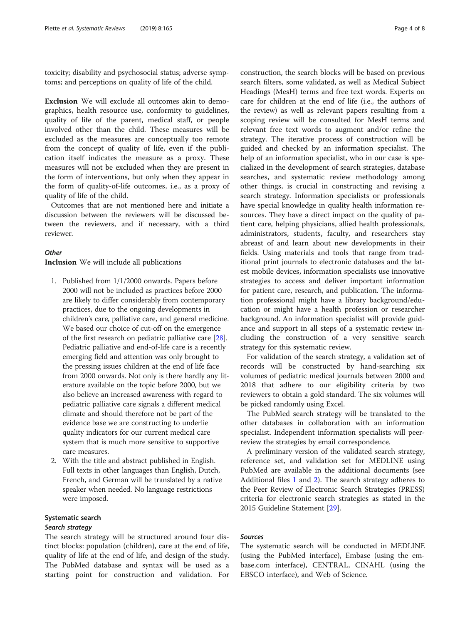toxicity; disability and psychosocial status; adverse symptoms; and perceptions on quality of life of the child.

Exclusion We will exclude all outcomes akin to demographics, health resource use, conformity to guidelines, quality of life of the parent, medical staff, or people involved other than the child. These measures will be excluded as the measures are conceptually too remote from the concept of quality of life, even if the publication itself indicates the measure as a proxy. These measures will not be excluded when they are present in the form of interventions, but only when they appear in the form of quality-of-life outcomes, i.e., as a proxy of quality of life of the child.

Outcomes that are not mentioned here and initiate a discussion between the reviewers will be discussed between the reviewers, and if necessary, with a third reviewer.

#### **Other**

Inclusion We will include all publications

- 1. Published from 1/1/2000 onwards. Papers before 2000 will not be included as practices before 2000 are likely to differ considerably from contemporary practices, due to the ongoing developments in children's care, palliative care, and general medicine. We based our choice of cut-off on the emergence of the first research on pediatric palliative care [\[28](#page-7-0)]. Pediatric palliative and end-of-life care is a recently emerging field and attention was only brought to the pressing issues children at the end of life face from 2000 onwards. Not only is there hardly any literature available on the topic before 2000, but we also believe an increased awareness with regard to pediatric palliative care signals a different medical climate and should therefore not be part of the evidence base we are constructing to underlie quality indicators for our current medical care system that is much more sensitive to supportive care measures.
- 2. With the title and abstract published in English. Full texts in other languages than English, Dutch, French, and German will be translated by a native speaker when needed. No language restrictions were imposed.

# Systematic search

# Search strategy

The search strategy will be structured around four distinct blocks: population (children), care at the end of life, quality of life at the end of life, and design of the study. The PubMed database and syntax will be used as a starting point for construction and validation. For construction, the search blocks will be based on previous search filters, some validated, as well as Medical Subject Headings (MesH) terms and free text words. Experts on care for children at the end of life (i.e., the authors of the review) as well as relevant papers resulting from a scoping review will be consulted for MesH terms and relevant free text words to augment and/or refine the strategy. The iterative process of construction will be guided and checked by an information specialist. The help of an information specialist, who in our case is specialized in the development of search strategies, database searches, and systematic review methodology among other things, is crucial in constructing and revising a search strategy. Information specialists or professionals have special knowledge in quality health information resources. They have a direct impact on the quality of patient care, helping physicians, allied health professionals, administrators, students, faculty, and researchers stay abreast of and learn about new developments in their fields. Using materials and tools that range from traditional print journals to electronic databases and the latest mobile devices, information specialists use innovative strategies to access and deliver important information for patient care, research, and publication. The information professional might have a library background/education or might have a health profession or researcher background. An information specialist will provide guidance and support in all steps of a systematic review including the construction of a very sensitive search strategy for this systematic review.

For validation of the search strategy, a validation set of records will be constructed by hand-searching six volumes of pediatric medical journals between 2000 and 2018 that adhere to our eligibility criteria by two reviewers to obtain a gold standard. The six volumes will be picked randomly using Excel.

The PubMed search strategy will be translated to the other databases in collaboration with an information specialist. Independent information specialists will peerreview the strategies by email correspondence.

A preliminary version of the validated search strategy, reference set, and validation set for MEDLINE using PubMed are available in the additional documents (see Additional files [1](#page-6-0) and [2\)](#page-6-0). The search strategy adheres to the Peer Review of Electronic Search Strategies (PRESS) criteria for electronic search strategies as stated in the 2015 Guideline Statement [\[29](#page-7-0)].

## Sources

The systematic search will be conducted in MEDLINE (using the PubMed interface), Embase (using the embase.com interface), CENTRAL, CINAHL (using the EBSCO interface), and Web of Science.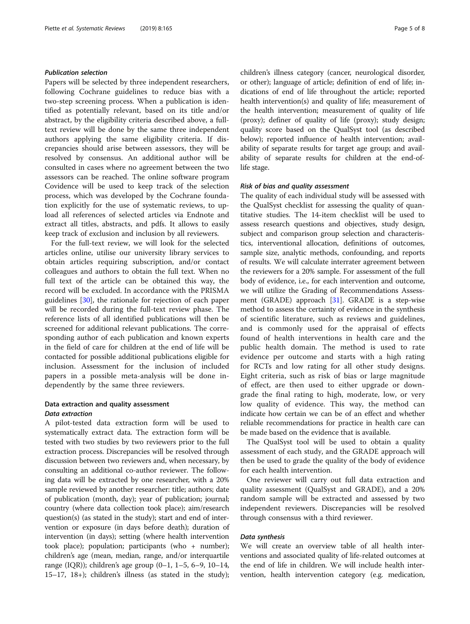#### Publication selection

Papers will be selected by three independent researchers, following Cochrane guidelines to reduce bias with a two-step screening process. When a publication is identified as potentially relevant, based on its title and/or abstract, by the eligibility criteria described above, a fulltext review will be done by the same three independent authors applying the same eligibility criteria. If discrepancies should arise between assessors, they will be resolved by consensus. An additional author will be consulted in cases where no agreement between the two assessors can be reached. The online software program Covidence will be used to keep track of the selection process, which was developed by the Cochrane foundation explicitly for the use of systematic reviews, to upload all references of selected articles via Endnote and extract all titles, abstracts, and pdfs. It allows to easily keep track of exclusion and inclusion by all reviewers.

For the full-text review, we will look for the selected articles online, utilise our university library services to obtain articles requiring subscription, and/or contact colleagues and authors to obtain the full text. When no full text of the article can be obtained this way, the record will be excluded. In accordance with the PRISMA guidelines [\[30](#page-7-0)], the rationale for rejection of each paper will be recorded during the full-text review phase. The reference lists of all identified publications will then be screened for additional relevant publications. The corresponding author of each publication and known experts in the field of care for children at the end of life will be contacted for possible additional publications eligible for inclusion. Assessment for the inclusion of included papers in a possible meta-analysis will be done independently by the same three reviewers.

#### Data extraction and quality assessment Data extraction

A pilot-tested data extraction form will be used to systematically extract data. The extraction form will be tested with two studies by two reviewers prior to the full extraction process. Discrepancies will be resolved through discussion between two reviewers and, when necessary, by consulting an additional co-author reviewer. The following data will be extracted by one researcher, with a 20% sample reviewed by another researcher: title; authors; date of publication (month, day); year of publication; journal; country (where data collection took place); aim/research question(s) (as stated in the study); start and end of intervention or exposure (in days before death); duration of intervention (in days); setting (where health intervention took place); population; participants (who + number); children's age (mean, median, range, and/or interquartile range (IQR)); children's age group (0–1, 1–5, 6–9, 10–14, 15–17, 18+); children's illness (as stated in the study); children's illness category (cancer, neurological disorder, or other); language of article; definition of end of life; indications of end of life throughout the article; reported health intervention(s) and quality of life; measurement of the health intervention; measurement of quality of life (proxy); definer of quality of life (proxy); study design; quality score based on the QualSyst tool (as described below); reported influence of health intervention; availability of separate results for target age group; and availability of separate results for children at the end-oflife stage.

#### Risk of bias and quality assessment

The quality of each individual study will be assessed with the QualSyst checklist for assessing the quality of quantitative studies. The 14-item checklist will be used to assess research questions and objectives, study design, subject and comparison group selection and characteristics, interventional allocation, definitions of outcomes, sample size, analytic methods, confounding, and reports of results. We will calculate interrater agreement between the reviewers for a 20% sample. For assessment of the full body of evidence, i.e., for each intervention and outcome, we will utilize the Grading of Recommendations Assessment (GRADE) approach [\[31\]](#page-7-0). GRADE is a step-wise method to assess the certainty of evidence in the synthesis of scientific literature, such as reviews and guidelines, and is commonly used for the appraisal of effects found of health interventions in health care and the public health domain. The method is used to rate evidence per outcome and starts with a high rating for RCTs and low rating for all other study designs. Eight criteria, such as risk of bias or large magnitude of effect, are then used to either upgrade or downgrade the final rating to high, moderate, low, or very low quality of evidence. This way, the method can indicate how certain we can be of an effect and whether reliable recommendations for practice in health care can be made based on the evidence that is available.

The QualSyst tool will be used to obtain a quality assessment of each study, and the GRADE approach will then be used to grade the quality of the body of evidence for each health intervention.

One reviewer will carry out full data extraction and quality assessment (QualSyst and GRADE), and a 20% random sample will be extracted and assessed by two independent reviewers. Discrepancies will be resolved through consensus with a third reviewer.

#### Data synthesis

We will create an overview table of all health interventions and associated quality of life-related outcomes at the end of life in children. We will include health intervention, health intervention category (e.g. medication,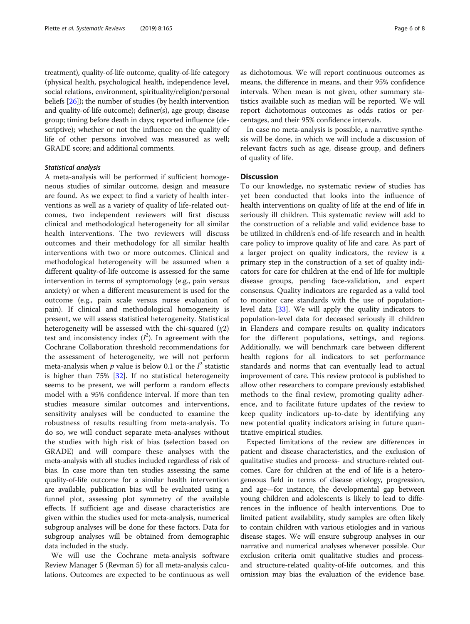treatment), quality-of-life outcome, quality-of-life category (physical health, psychological health, independence level, social relations, environment, spirituality/religion/personal beliefs [[26](#page-7-0)]); the number of studies (by health intervention and quality-of-life outcome); definer(s), age group; disease group; timing before death in days; reported influence (descriptive); whether or not the influence on the quality of life of other persons involved was measured as well; GRADE score; and additional comments.

#### Statistical analysis

A meta-analysis will be performed if sufficient homogeneous studies of similar outcome, design and measure are found. As we expect to find a variety of health interventions as well as a variety of quality of life-related outcomes, two independent reviewers will first discuss clinical and methodological heterogeneity for all similar health interventions. The two reviewers will discuss outcomes and their methodology for all similar health interventions with two or more outcomes. Clinical and methodological heterogeneity will be assumed when a different quality-of-life outcome is assessed for the same intervention in terms of symptomology (e.g., pain versus anxiety) or when a different measurement is used for the outcome (e.g., pain scale versus nurse evaluation of pain). If clinical and methodological homogeneity is present, we will assess statistical heterogeneity. Statistical heterogeneity will be assessed with the chi-squared  $(y2)$ test and inconsistency index  $(I^2)$ . In agreement with the Cochrane Collaboration threshold recommendations for the assessment of heterogeneity, we will not perform meta-analysis when  $p$  value is below 0.1 or the  $I^2$  statistic is higher than 75% [\[32](#page-7-0)]. If no statistical heterogeneity seems to be present, we will perform a random effects model with a 95% confidence interval. If more than ten studies measure similar outcomes and interventions, sensitivity analyses will be conducted to examine the robustness of results resulting from meta-analysis. To do so, we will conduct separate meta-analyses without the studies with high risk of bias (selection based on GRADE) and will compare these analyses with the meta-analysis with all studies included regardless of risk of bias. In case more than ten studies assessing the same quality-of-life outcome for a similar health intervention are available, publication bias will be evaluated using a funnel plot, assessing plot symmetry of the available effects. If sufficient age and disease characteristics are given within the studies used for meta-analysis, numerical subgroup analyses will be done for these factors. Data for subgroup analyses will be obtained from demographic data included in the study.

We will use the Cochrane meta-analysis software Review Manager 5 (Revman 5) for all meta-analysis calculations. Outcomes are expected to be continuous as well as dichotomous. We will report continuous outcomes as means, the difference in means, and their 95% confidence intervals. When mean is not given, other summary statistics available such as median will be reported. We will report dichotomous outcomes as odds ratios or percentages, and their 95% confidence intervals.

In case no meta-analysis is possible, a narrative synthesis will be done, in which we will include a discussion of relevant factrs such as age, disease group, and definers of quality of life.

#### **Discussion**

To our knowledge, no systematic review of studies has yet been conducted that looks into the influence of health interventions on quality of life at the end of life in seriously ill children. This systematic review will add to the construction of a reliable and valid evidence base to be utilized in children's end-of-life research and in health care policy to improve quality of life and care. As part of a larger project on quality indicators, the review is a primary step in the construction of a set of quality indicators for care for children at the end of life for multiple disease groups, pending face-validation, and expert consensus. Quality indicators are regarded as a valid tool to monitor care standards with the use of populationlevel data [[33](#page-7-0)]. We will apply the quality indicators to population-level data for deceased seriously ill children in Flanders and compare results on quality indicators for the different populations, settings, and regions. Additionally, we will benchmark care between different health regions for all indicators to set performance standards and norms that can eventually lead to actual improvement of care. This review protocol is published to allow other researchers to compare previously established methods to the final review, promoting quality adherence, and to facilitate future updates of the review to keep quality indicators up-to-date by identifying any new potential quality indicators arising in future quantitative empirical studies.

Expected limitations of the review are differences in patient and disease characteristics, and the exclusion of qualitative studies and process- and structure-related outcomes. Care for children at the end of life is a heterogeneous field in terms of disease etiology, progression, and age—for instance, the developmental gap between young children and adolescents is likely to lead to differences in the influence of health interventions. Due to limited patient availability, study samples are often likely to contain children with various etiologies and in various disease stages. We will ensure subgroup analyses in our narrative and numerical analyses whenever possible. Our exclusion criteria omit qualitative studies and processand structure-related quality-of-life outcomes, and this omission may bias the evaluation of the evidence base.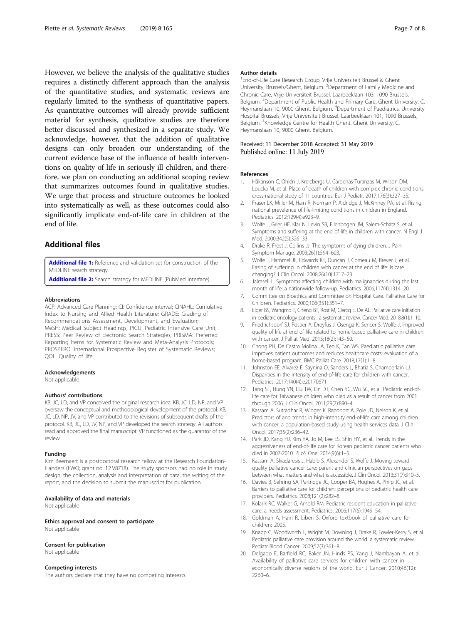<span id="page-6-0"></span>However, we believe the analysis of the qualitative studies requires a distinctly different approach than the analysis of the quantitative studies, and systematic reviews are regularly limited to the synthesis of quantitative papers. As quantitative outcomes will already provide sufficient material for synthesis, qualitative studies are therefore better discussed and synthesized in a separate study. We acknowledge, however, that the addition of qualitative designs can only broaden our understanding of the current evidence base of the influence of health interventions on quality of life in seriously ill children, and therefore, we plan on conducting an additional scoping review that summarizes outcomes found in qualitative studies. We urge that process and structure outcomes be looked into systematically as well, as these outcomes could also significantly implicate end-of-life care in children at the end of life.

#### Additional files

[Additional file 1:](https://doi.org/10.1186/s13643-019-1059-8) Reference and validation set for construction of the MEDLINE search strategy.

[Additional file 2:](https://doi.org/10.1186/s13643-019-1059-8) Search strategy for MEDLINE (PubMed interface).

#### **Abbreviations**

ACP: Advanced Care Planning; CI: Confidence interval; CINAHL: Cumulative Index to Nursing and Allied Health Literature; GRADE: Grading of Recommendations Assessment, Development, and Evaluation; MeSH: Medical Subject Headings; PICU: Pediatric Intensive Care Unit; PRESS: Peer Review of Electronic Search Strategies; PRISMA: Preferred Reporting Items for Systematic Review and Meta-Analysis Protocols; PROSPERO: International Prospective Register of Systematic Reviews; QOL: Quality of life

#### Acknowledgements

Not applicable

#### Authors' contributions

KB, JC, LD, and VP conceived the original research idea. KB, JC, LD, NP, and VP oversaw the conceptual and methodological development of the protocol. KB, JC, LD, NP, JV, and VP contributed to the revisions of subsequent drafts of the protocol. KB, JC, LD, JV, NP, and VP developed the search strategy. All authors read and approved the final manuscript. VP functioned as the guarantor of the review.

#### Funding

Kim Beernaert is a postdoctoral research fellow at the Research Foundation-Flanders (FWO; grant no. 12 V8718). The study sponsors had no role in study design, the collection, analysis and interpretation of data, the writing of the report, and the decision to submit the manuscript for publication.

#### Availability of data and materials

Not applicable

Ethics approval and consent to participate Not applicable

#### Consent for publication

Not applicable

#### Competing interests

The authors declare that they have no competing interests.

#### Author details

<sup>1</sup> End-of-Life Care Research Group, Vrije Universiteit Brussel & Ghent University, Brussels/Ghent, Belgium. <sup>2</sup>Department of Family Medicine and Chronic Care, Vrije Universiteit Brussel, Laarbeeklaan 103, 1090 Brussels, Belgium. <sup>3</sup>Department of Public Health and Primary Care, Ghent University, C Heymanslaan 10, 9000 Ghent, Belgium. <sup>4</sup>Department of Paediatrics, University Hospital Brussels, Vrije Universiteit Brussel, Laarbeeklaan 101, 1090 Brussels, Belgium. <sup>5</sup>Knowledge Centre for Health Ghent, Ghent University, C. Heymanslaan 10, 9000 Ghent, Belgium.

#### Received: 11 December 2018 Accepted: 31 May 2019 Published online: 11 July 2019

#### References

- 1. Håkanson C, Öhlén J, Kreicbergs U, Cardenas-Turanzas M, Wilson DM, Loucka M, et al. Place of death of children with complex chronic conditions: cross-national study of 11 countries. Eur J Pediatr. 2017;176(3):327–35.
- 2. Fraser LK, Miller M, Hain R, Norman P, Aldridge J, McKinney PA, et al. Rising national prevalence of life-limiting conditions in children in England. Pediatrics. 2012;129(4):e923–9.
- 3. Wolfe J, Grier HE, Klar N, Levin SB, Ellenbogen JM, Salem-Schatz S, et al. Symptoms and suffering at the end of life in children with cancer. N Engl J Med. 2000;342(5):326–33.
- 4. Drake R, Frost J, Collins JJ. The symptoms of dying children. J Pain Symptom Manage. 2003;26(1):594–603.
- 5. Wolfe J, Hammel JF, Edwards KE, Duncan J, Comeau M, Breyer J, et al. Easing of suffering in children with cancer at the end of life: is care changing? J Clin Oncol. 2008;26(10):1717–23.
- 6. Jalmsell L. Symptoms affecting children with malignancies during the last month of life: a nationwide follow-up. Pediatrics. 2006;117(4):1314–20.
- 7. Committee on Bioethics and Committee on Hospital Care. Palliative Care for Children. Pediatrics. 2000;106(351):351–7.
- 8. Elger BS, Wangmo T, Cheng BT, Rost M, Clercq E, De AL. Palliative care initiation in pediatric oncology patients : a systematic review. Cancer Med. 2018;8(1):1–10.
- 9. Friedrichsdorf SJ, Postier A, Dreyfus J, Osenga K, Sencer S, Wolfe J. Improved quality of life at end of life related to home-based palliative care in children with cancer. J Palliat Med. 2015;18(2):143–50.
- 10. Chong PH, De Castro Molina JA, Teo K, Tan WS. Paediatric palliative care improves patient outcomes and reduces healthcare costs: evaluation of a home-based program. BMC Palliat Care. 2018;17(1):1–8.
- 11. Johnston EE, Alvarez E, Saynina O, Sanders L, Bhatia S, Chamberlain LJ. Disparities in the intensity of end-of-life care for children with cancer. Pediatrics. 2017;140(4):e20170671.
- 12. Tang ST, Hung YN, Liu TW, Lin DT, Chen YC, Wu SC, et al. Pediatric end-oflife care for Taiwanese children who died as a result of cancer from 2001 through 2006. J Clin Oncol. 2011;29(7):890–4.
- 13. Kassam A, Sutradhar R, Widger K, Rapoport A, Pole JD, Nelson K, et al. Predictors of and trends in high-intensity end-of-life care among children with cancer: a population-based study using health services data. J Clin Oncol. 2017;35(2):236–42.
- 14. Park JD, Kang HJ, Kim YA, Jo M, Lee ES, Shin HY, et al. Trends in the aggressiveness of end-of-life care for Korean pediatric cancer patients who died in 2007-2010. PLoS One. 2014;9(6):1–5.
- 15. Kassam A, Skiadaresis J, Habib S, Alexander S, Wolfe J. Moving toward quality palliative cancer care: parent and clinician perspectives on gaps between what matters and what is accessible. J Clin Oncol. 2013;31(7):910–5.
- 16. Davies B, Sehring SA, Partridge JC, Cooper BA, Hughes A, Philp JC, et al. Barriers to palliative care for children: perceptions of pediatric health care providers. Pediatrics. 2008;121(2):282–8.
- 17. Kolarik RC, Walker G, Arnold RM. Pediatric resident education in palliative care: a needs assessment. Pediatrics. 2006;117(6):1949–54.
- 18. Goldman A, Hain R, Liben S. Oxford textbook of palliative care for children; 2005.
- 19. Knapp C, Woodworth L, Wright M, Downing J, Drake R, Fowler-Kerry S, et al. Pediatric palliative care provision around the world: a systematic review. Pediatr Blood Cancer. 2009;57(3):361–8.
- 20. Delgado E, Barfield RC, Baker JN, Hinds PS, Yang J, Nambayan A, et al. Availability of palliative care services for children with cancer in economically diverse regions of the world. Eur J Cancer. 2010;46(12): 2260–6.